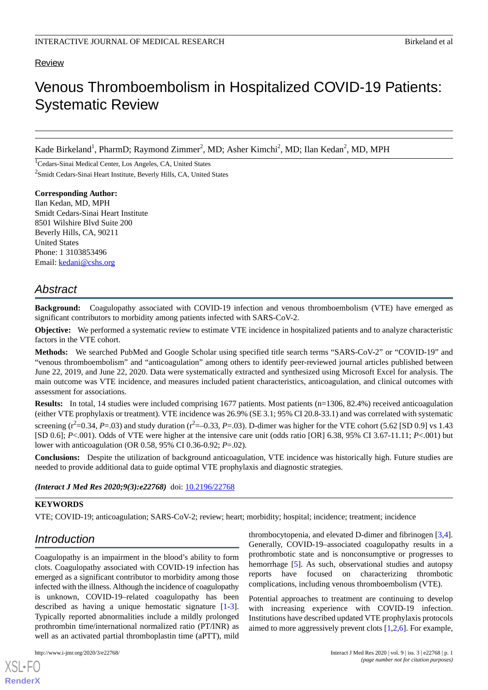### Review

# Venous Thromboembolism in Hospitalized COVID-19 Patients: Systematic Review

Kade Birkeland<sup>1</sup>, PharmD; Raymond Zimmer<sup>2</sup>, MD; Asher Kimchi<sup>2</sup>, MD; Ilan Kedan<sup>2</sup>, MD, MPH

<sup>1</sup>Cedars-Sinai Medical Center, Los Angeles, CA, United States <sup>2</sup>Smidt Cedars-Sinai Heart Institute, Beverly Hills, CA, United States

**Corresponding Author:** Ilan Kedan, MD, MPH Smidt Cedars-Sinai Heart Institute 8501 Wilshire Blvd Suite 200 Beverly Hills, CA, 90211 United States Phone: 1 3103853496 Email: [kedani@cshs.org](mailto:kedani@cshs.org)

# *Abstract*

**Background:** Coagulopathy associated with COVID-19 infection and venous thromboembolism (VTE) have emerged as significant contributors to morbidity among patients infected with SARS-CoV-2.

**Objective:** We performed a systematic review to estimate VTE incidence in hospitalized patients and to analyze characteristic factors in the VTE cohort.

**Methods:** We searched PubMed and Google Scholar using specified title search terms "SARS-CoV-2" or "COVID-19" and "venous thromboembolism" and "anticoagulation" among others to identify peer-reviewed journal articles published between June 22, 2019, and June 22, 2020. Data were systematically extracted and synthesized using Microsoft Excel for analysis. The main outcome was VTE incidence, and measures included patient characteristics, anticoagulation, and clinical outcomes with assessment for associations.

**Results:** In total, 14 studies were included comprising 1677 patients. Most patients (n=1306, 82.4%) received anticoagulation (either VTE prophylaxis or treatment). VTE incidence was 26.9% (SE 3.1; 95% CI 20.8-33.1) and was correlated with systematic screening  $(r^2=0.34, P=.03)$  and study duration  $(r^2=-0.33, P=.03)$ . D-dimer was higher for the VTE cohort (5.62 [SD 0.9] vs 1.43 [SD 0.6]; *P*<.001). Odds of VTE were higher at the intensive care unit (odds ratio [OR] 6.38, 95% CI 3.67-11.11; *P*<.001) but lower with anticoagulation (OR 0.58, 95% CI 0.36-0.92; *P*=.02).

**Conclusions:** Despite the utilization of background anticoagulation, VTE incidence was historically high. Future studies are needed to provide additional data to guide optimal VTE prophylaxis and diagnostic strategies.

*(Interact J Med Res 2020;9(3):e22768)* doi:  $10.2196/22768$ 

### **KEYWORDS**

VTE; COVID-19; anticoagulation; SARS-CoV-2; review; heart; morbidity; hospital; incidence; treatment; incidence

# *Introduction*

Coagulopathy is an impairment in the blood's ability to form clots. Coagulopathy associated with COVID-19 infection has emerged as a significant contributor to morbidity among those infected with the illness. Although the incidence of coagulopathy is unknown, COVID-19–related coagulopathy has been described as having a unique hemostatic signature [\[1-](#page-6-0)[3\]](#page-6-1). Typically reported abnormalities include a mildly prolonged prothrombin time/international normalized ratio (PT/INR) as well as an activated partial thromboplastin time (aPTT), mild

[XSL](http://www.w3.org/Style/XSL)•FO **[RenderX](http://www.renderx.com/)**

thrombocytopenia, and elevated D-dimer and fibrinogen [\[3](#page-6-1),[4\]](#page-6-2). Generally, COVID-19–associated coagulopathy results in a prothrombotic state and is nonconsumptive or progresses to hemorrhage [[5\]](#page-6-3). As such, observational studies and autopsy reports have focused on characterizing thrombotic complications, including venous thromboembolism (VTE).

Potential approaches to treatment are continuing to develop with increasing experience with COVID-19 infection. Institutions have described updated VTE prophylaxis protocols aimed to more aggressively prevent clots [\[1](#page-6-0),[2,](#page-6-4)[6](#page-6-5)]. For example,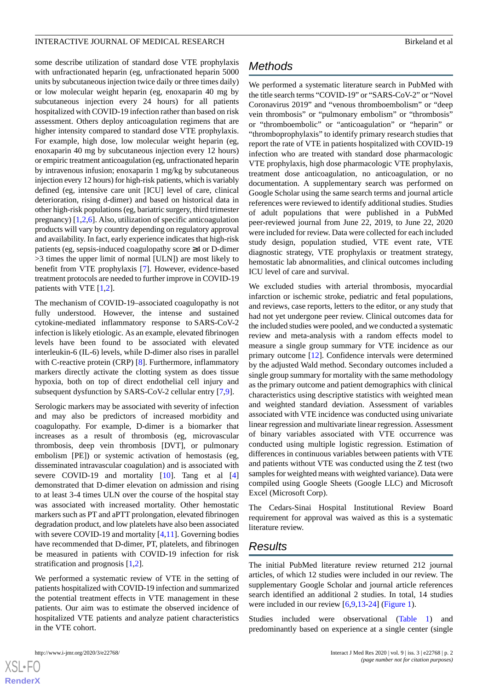some describe utilization of standard dose VTE prophylaxis with unfractionated heparin (eg, unfractionated heparin 5000 units by subcutaneous injection twice daily or three times daily) or low molecular weight heparin (eg, enoxaparin 40 mg by subcutaneous injection every 24 hours) for all patients hospitalized with COVID-19 infection rather than based on risk assessment. Others deploy anticoagulation regimens that are higher intensity compared to standard dose VTE prophylaxis. For example, high dose, low molecular weight heparin (eg, enoxaparin 40 mg by subcutaneous injection every 12 hours) or empiric treatment anticoagulation (eg, unfractionated heparin by intravenous infusion; enoxaparin 1 mg/kg by subcutaneous injection every 12 hours) for high-risk patients, which is variably defined (eg, intensive care unit [ICU] level of care, clinical deterioration, rising d-dimer) and based on historical data in other high-risk populations (eg, bariatric surgery, third trimester pregnancy) [[1,](#page-6-0)[2](#page-6-4),[6\]](#page-6-5). Also, utilization of specific anticoagulation products will vary by country depending on regulatory approval and availability. In fact, early experience indicates that high-risk patients (eg, sepsis-induced coagulopathy score ≥4 or D-dimer >3 times the upper limit of normal [ULN]) are most likely to benefit from VTE prophylaxis [\[7](#page-6-6)]. However, evidence-based treatment protocols are needed to further improve in COVID-19 patients with VTE [[1,](#page-6-0)[2](#page-6-4)].

The mechanism of COVID-19–associated coagulopathy is not fully understood. However, the intense and sustained cytokine-mediated inflammatory response to SARS-CoV-2 infection is likely etiologic. As an example, elevated fibrinogen levels have been found to be associated with elevated interleukin-6 (IL-6) levels, while D-dimer also rises in parallel with C-reactive protein (CRP) [[8\]](#page-6-7). Furthermore, inflammatory markers directly activate the clotting system as does tissue hypoxia, both on top of direct endothelial cell injury and subsequent dysfunction by SARS-CoV-2 cellular entry [[7,](#page-6-6)[9](#page-6-8)].

Serologic markers may be associated with severity of infection and may also be predictors of increased morbidity and coagulopathy. For example, D-dimer is a biomarker that increases as a result of thrombosis (eg, microvascular thrombosis, deep vein thrombosis [DVT], or pulmonary embolism [PE]) or systemic activation of hemostasis (eg, disseminated intravascular coagulation) and is associated with severe COVID-19 and mortality [\[10](#page-6-9)]. Tang et al [\[4](#page-6-2)] demonstrated that D-dimer elevation on admission and rising to at least 3-4 times ULN over the course of the hospital stay was associated with increased mortality. Other hemostatic markers such as PT and aPTT prolongation, elevated fibrinogen degradation product, and low platelets have also been associated with severe COVID-19 and mortality [\[4](#page-6-2),[11\]](#page-6-10). Governing bodies have recommended that D-dimer, PT, platelets, and fibrinogen be measured in patients with COVID-19 infection for risk stratification and prognosis [\[1](#page-6-0)[,2\]](#page-6-4).

We performed a systematic review of VTE in the setting of patients hospitalized with COVID-19 infection and summarized the potential treatment effects in VTE management in these patients. Our aim was to estimate the observed incidence of hospitalized VTE patients and analyze patient characteristics in the VTE cohort.

 $XS$  $\cdot$ FC **[RenderX](http://www.renderx.com/)**

# *Methods*

We performed a systematic literature search in PubMed with the title search terms "COVID-19" or "SARS-CoV-2" or "Novel Coronavirus 2019" and "venous thromboembolism" or "deep vein thrombosis" or "pulmonary embolism" or "thrombosis" or "thromboembolic" or "anticoagulation" or "heparin" or "thromboprophylaxis" to identify primary research studies that report the rate of VTE in patients hospitalized with COVID-19 infection who are treated with standard dose pharmacologic VTE prophylaxis, high dose pharmacologic VTE prophylaxis, treatment dose anticoagulation, no anticoagulation, or no documentation. A supplementary search was performed on Google Scholar using the same search terms and journal article references were reviewed to identify additional studies. Studies of adult populations that were published in a PubMed peer-reviewed journal from June 22, 2019, to June 22, 2020 were included for review. Data were collected for each included study design, population studied, VTE event rate, VTE diagnostic strategy, VTE prophylaxis or treatment strategy, hemostatic lab abnormalities, and clinical outcomes including ICU level of care and survival.

We excluded studies with arterial thrombosis, myocardial infarction or ischemic stroke, pediatric and fetal populations, and reviews, case reports, letters to the editor, or any study that had not yet undergone peer review. Clinical outcomes data for the included studies were pooled, and we conducted a systematic review and meta-analysis with a random effects model to measure a single group summary for VTE incidence as our primary outcome [[12\]](#page-6-11). Confidence intervals were determined by the adjusted Wald method. Secondary outcomes included a single group summary for mortality with the same methodology as the primary outcome and patient demographics with clinical characteristics using descriptive statistics with weighted mean and weighted standard deviation. Assessment of variables associated with VTE incidence was conducted using univariate linear regression and multivariate linear regression. Assessment of binary variables associated with VTE occurrence was conducted using multiple logistic regression. Estimation of differences in continuous variables between patients with VTE and patients without VTE was conducted using the Z test (two samples for weighted means with weighted variance). Data were compiled using Google Sheets (Google LLC) and Microsoft Excel (Microsoft Corp).

The Cedars-Sinai Hospital Institutional Review Board requirement for approval was waived as this is a systematic literature review.

# *Results*

The initial PubMed literature review returned 212 journal articles, of which 12 studies were included in our review. The supplementary Google Scholar and journal article references search identified an additional 2 studies. In total, 14 studies were included in our review [\[6](#page-6-5),[9,](#page-6-8)[13](#page-6-12)-[24\]](#page-7-0) ([Figure 1](#page-2-0)).

Studies included were observational ([Table 1](#page-2-1)) and predominantly based on experience at a single center (single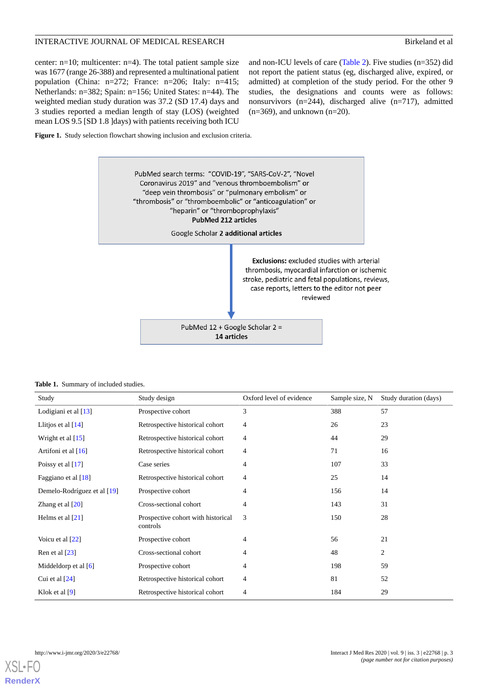center: n=10; multicenter: n=4). The total patient sample size was 1677 (range 26-388) and represented a multinational patient population (China: n=272; France: n=206; Italy: n=415; Netherlands: n=382; Spain: n=156; United States: n=44). The weighted median study duration was 37.2 (SD 17.4) days and 3 studies reported a median length of stay (LOS) (weighted mean LOS 9.5 [SD 1.8 ]days) with patients receiving both ICU

and non-ICU levels of care [\(Table 2\)](#page-3-0). Five studies (n=352) did not report the patient status (eg, discharged alive, expired, or admitted) at completion of the study period. For the other 9 studies, the designations and counts were as follows: nonsurvivors (n=244), discharged alive (n=717), admitted  $(n=369)$ , and unknown  $(n=20)$ .

<span id="page-2-0"></span>**Figure 1.** Study selection flowchart showing inclusion and exclusion criteria.



#### <span id="page-2-1"></span>**Table 1.** Summary of included studies.

| Study                       | Study design                                   | Oxford level of evidence | Sample size, N | Study duration (days) |
|-----------------------------|------------------------------------------------|--------------------------|----------------|-----------------------|
| Lodigiani et al [13]        | Prospective cohort                             | 3                        | 388            | 57                    |
| Llitjos et al $[14]$        | Retrospective historical cohort                | 4                        | 26             | 23                    |
| Wright et al $[15]$         | Retrospective historical cohort                | 4                        | 44             | 29                    |
| Artifoni et al $[16]$       | Retrospective historical cohort                | 4                        | 71             | 16                    |
| Poissy et al $[17]$         | Case series                                    | 4                        | 107            | 33                    |
| Faggiano et al $[18]$       | Retrospective historical cohort                | 4                        | 25             | 14                    |
| Demelo-Rodríguez et al [19] | Prospective cohort                             | $\overline{4}$           | 156            | 14                    |
| Zhang et al $[20]$          | Cross-sectional cohort                         | 4                        | 143            | 31                    |
| Helms et al $[21]$          | Prospective cohort with historical<br>controls | 3                        | 150            | 28                    |
| Voicu et al [22]            | Prospective cohort                             | $\overline{4}$           | 56             | 21                    |
| Ren et al $[23]$            | Cross-sectional cohort                         | $\overline{4}$           | 48             | $\overline{c}$        |
| Middeldorp et al $[6]$      | Prospective cohort                             | 4                        | 198            | 59                    |
| Cui et al $[24]$            | Retrospective historical cohort                | 4                        | 81             | 52                    |
| Klok et al $[9]$            | Retrospective historical cohort                | 4                        | 184            | 29                    |

[XSL](http://www.w3.org/Style/XSL)•FO **[RenderX](http://www.renderx.com/)**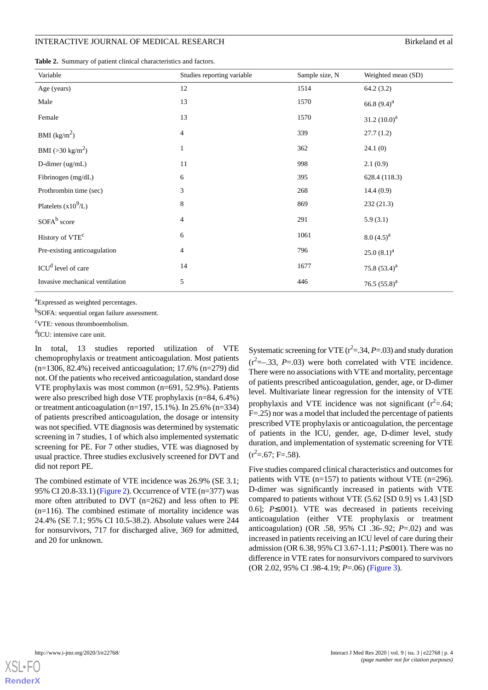#### INTERACTIVE JOURNAL OF MEDICAL RESEARCH BIRKELAND BIRKELAND BIRKELAND BIRKELAND BIRKELAND BIRKELAND

<span id="page-3-0"></span>

| Variable                        | Studies reporting variable | Sample size, N | Weighted mean (SD) |
|---------------------------------|----------------------------|----------------|--------------------|
| Age (years)                     | 12                         | 1514           | 64.2(3.2)          |
| Male                            | 13                         | 1570           | 66.8 $(9.4)^{a}$   |
| Female                          | 13                         | 1570           | 31.2 $(10.0)^a$    |
| BMI $(kg/m^2)$                  | $\overline{4}$             | 339            | 27.7(1.2)          |
| BMI ( $>30 \text{ kg/m}^2$ )    | $\mathbf{1}$               | 362            | 24.1(0)            |
| D-dimer (ug/mL)                 | 11                         | 998            | 2.1(0.9)           |
| Fibrinogen (mg/dL)              | 6                          | 395            | 628.4 (118.3)      |
| Prothrombin time (sec)          | $\mathfrak{Z}$             | 268            | 14.4(0.9)          |
| Platelets $(x10^9/L)$           | $\,8\,$                    | 869            | 232(21.3)          |
| SOFA <sup>b</sup> score         | $\overline{4}$             | 291            | 5.9(3.1)           |
| History of VTE <sup>c</sup>     | 6                          | 1061           | $8.0 (4.5)^{a}$    |
| Pre-existing anticoagulation    | $\overline{4}$             | 796            | $25.0(8.1)^{a}$    |
| ICU <sup>d</sup> level of care  | 14                         | 1677           | 75.8 $(53.4)^{a}$  |
| Invasive mechanical ventilation | $\sqrt{5}$                 | 446            | 76.5 $(55.8)^{a}$  |

<sup>a</sup>Expressed as weighted percentages.

<sup>b</sup>SOFA: sequential organ failure assessment.

<sup>c</sup>VTE: venous thromboembolism.

<sup>d</sup>ICU: intensive care unit.

In total, 13 studies reported utilization of VTE chemoprophylaxis or treatment anticoagulation. Most patients (n=1306, 82.4%) received anticoagulation; 17.6% (n=279) did not. Of the patients who received anticoagulation, standard dose VTE prophylaxis was most common (n=691, 52.9%). Patients were also prescribed high dose VTE prophylaxis (n=84, 6.4%) or treatment anticoagulation (n=197, 15.1%). In 25.6% (n=334) of patients prescribed anticoagulation, the dosage or intensity was not specified. VTE diagnosis was determined by systematic screening in 7 studies, 1 of which also implemented systematic screening for PE. For 7 other studies, VTE was diagnosed by usual practice. Three studies exclusively screened for DVT and did not report PE.

The combined estimate of VTE incidence was 26.9% (SE 3.1; 95% CI 20.8-33.1) ([Figure 2\)](#page-4-0). Occurrence of VTE (n=377) was more often attributed to DVT (n=262) and less often to PE (n=116). The combined estimate of mortality incidence was 24.4% (SE 7.1; 95% CI 10.5-38.2). Absolute values were 244 for nonsurvivors, 717 for discharged alive, 369 for admitted, and 20 for unknown.

Systematic screening for VTE  $(r^2 = .34, P = .03)$  and study duration  $(r<sup>2</sup>=-.33, P=.03)$  were both correlated with VTE incidence. There were no associations with VTE and mortality, percentage of patients prescribed anticoagulation, gender, age, or D-dimer level. Multivariate linear regression for the intensity of VTE prophylaxis and VTE incidence was not significant  $(r^2=0.64;$ F=.25) nor was a model that included the percentage of patients prescribed VTE prophylaxis or anticoagulation, the percentage of patients in the ICU, gender, age, D-dimer level, study duration, and implementation of systematic screening for VTE  $(r^2=.67; F=.58).$ 

Five studies compared clinical characteristics and outcomes for patients with VTE (n=157) to patients without VTE (n=296). D-dimer was significantly increased in patients with VTE compared to patients without VTE (5.62 [SD 0.9] vs 1.43 [SD 0.6]; *P*≤.001). VTE was decreased in patients receiving anticoagulation (either VTE prophylaxis or treatment anticoagulation) (OR .58, 95% CI .36-.92; *P*=.02) and was increased in patients receiving an ICU level of care during their admission (OR 6.38, 95% CI 3.67-1.11; *P*≤.001). There was no difference in VTE rates for nonsurvivors compared to survivors (OR 2.02, 95% CI .98-4.19; *P*=.06) [\(Figure 3\)](#page-4-1).

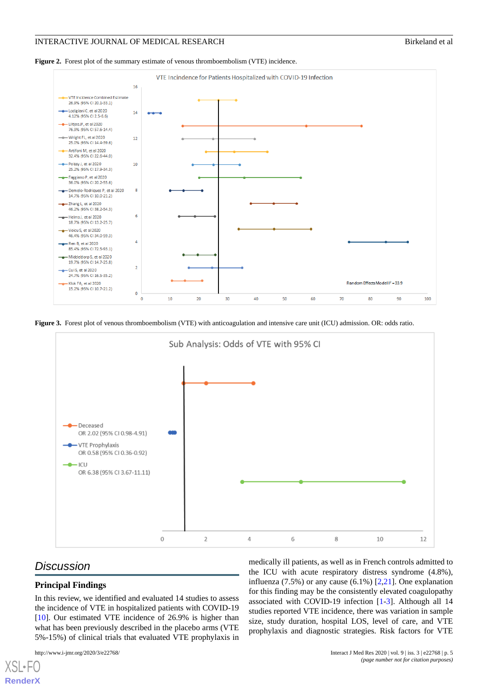<span id="page-4-0"></span>



<span id="page-4-1"></span>**Figure 3.** Forest plot of venous thromboembolism (VTE) with anticoagulation and intensive care unit (ICU) admission. OR: odds ratio.



# *Discussion*

## **Principal Findings**

In this review, we identified and evaluated 14 studies to assess the incidence of VTE in hospitalized patients with COVID-19 [[10\]](#page-6-9). Our estimated VTE incidence of 26.9% is higher than what has been previously described in the placebo arms (VTE 5%-15%) of clinical trials that evaluated VTE prophylaxis in

 $X$ SL•F **[RenderX](http://www.renderx.com/)** medically ill patients, as well as in French controls admitted to the ICU with acute respiratory distress syndrome (4.8%), influenza  $(7.5\%)$  or any cause  $(6.1\%)$   $[2,21]$  $[2,21]$  $[2,21]$  $[2,21]$ . One explanation for this finding may be the consistently elevated coagulopathy associated with COVID-19 infection [[1](#page-6-0)[-3](#page-6-1)]. Although all 14 studies reported VTE incidence, there was variation in sample size, study duration, hospital LOS, level of care, and VTE prophylaxis and diagnostic strategies. Risk factors for VTE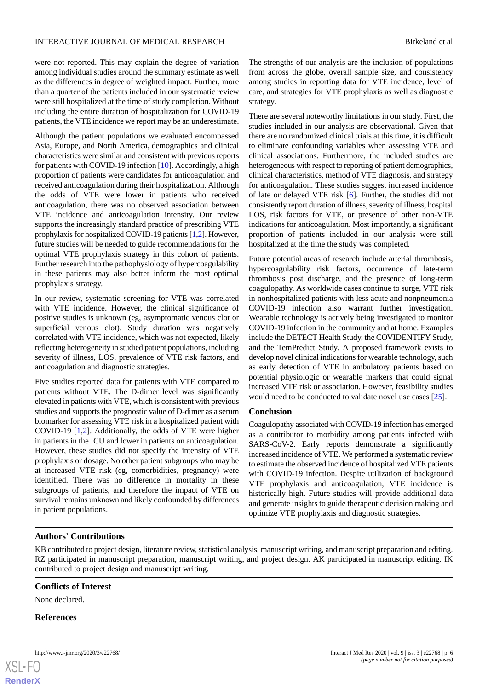were not reported. This may explain the degree of variation among individual studies around the summary estimate as well as the differences in degree of weighted impact. Further, more than a quarter of the patients included in our systematic review were still hospitalized at the time of study completion. Without including the entire duration of hospitalization for COVID-19 patients, the VTE incidence we report may be an underestimate.

Although the patient populations we evaluated encompassed Asia, Europe, and North America, demographics and clinical characteristics were similar and consistent with previous reports for patients with COVID-19 infection [\[10](#page-6-9)]. Accordingly, a high proportion of patients were candidates for anticoagulation and received anticoagulation during their hospitalization. Although the odds of VTE were lower in patients who received anticoagulation, there was no observed association between VTE incidence and anticoagulation intensity. Our review supports the increasingly standard practice of prescribing VTE prophylaxis for hospitalized COVID-19 patients [\[1](#page-6-0),[2\]](#page-6-4). However, future studies will be needed to guide recommendations for the optimal VTE prophylaxis strategy in this cohort of patients. Further research into the pathophysiology of hypercoagulability in these patients may also better inform the most optimal prophylaxis strategy.

In our review, systematic screening for VTE was correlated with VTE incidence. However, the clinical significance of positive studies is unknown (eg, asymptomatic venous clot or superficial venous clot). Study duration was negatively correlated with VTE incidence, which was not expected, likely reflecting heterogeneity in studied patient populations, including severity of illness, LOS, prevalence of VTE risk factors, and anticoagulation and diagnostic strategies.

Five studies reported data for patients with VTE compared to patients without VTE. The D-dimer level was significantly elevated in patients with VTE, which is consistent with previous studies and supports the prognostic value of D-dimer as a serum biomarker for assessing VTE risk in a hospitalized patient with COVID-19 [[1,](#page-6-0)[2](#page-6-4)]. Additionally, the odds of VTE were higher in patients in the ICU and lower in patients on anticoagulation. However, these studies did not specify the intensity of VTE prophylaxis or dosage. No other patient subgroups who may be at increased VTE risk (eg, comorbidities, pregnancy) were identified. There was no difference in mortality in these subgroups of patients, and therefore the impact of VTE on survival remains unknown and likely confounded by differences in patient populations.

The strengths of our analysis are the inclusion of populations from across the globe, overall sample size, and consistency among studies in reporting data for VTE incidence, level of care, and strategies for VTE prophylaxis as well as diagnostic strategy.

There are several noteworthy limitations in our study. First, the studies included in our analysis are observational. Given that there are no randomized clinical trials at this time, it is difficult to eliminate confounding variables when assessing VTE and clinical associations. Furthermore, the included studies are heterogeneous with respect to reporting of patient demographics, clinical characteristics, method of VTE diagnosis, and strategy for anticoagulation. These studies suggest increased incidence of late or delayed VTE risk [\[6](#page-6-5)]. Further, the studies did not consistently report duration of illness, severity of illness, hospital LOS, risk factors for VTE, or presence of other non-VTE indications for anticoagulation. Most importantly, a significant proportion of patients included in our analysis were still hospitalized at the time the study was completed.

Future potential areas of research include arterial thrombosis, hypercoagulability risk factors, occurrence of late-term thrombosis post discharge, and the presence of long-term coagulopathy. As worldwide cases continue to surge, VTE risk in nonhospitalized patients with less acute and nonpneumonia COVID-19 infection also warrant further investigation. Wearable technology is actively being investigated to monitor COVID-19 infection in the community and at home. Examples include the DETECT Health Study, the COVIDENTIFY Study, and the TemPredict Study. A proposed framework exists to develop novel clinical indications for wearable technology, such as early detection of VTE in ambulatory patients based on potential physiologic or wearable markers that could signal increased VTE risk or association. However, feasibility studies would need to be conducted to validate novel use cases [[25\]](#page-7-5).

### **Conclusion**

Coagulopathy associated with COVID-19 infection has emerged as a contributor to morbidity among patients infected with SARS-CoV-2. Early reports demonstrate a significantly increased incidence of VTE. We performed a systematic review to estimate the observed incidence of hospitalized VTE patients with COVID-19 infection. Despite utilization of background VTE prophylaxis and anticoagulation, VTE incidence is historically high. Future studies will provide additional data and generate insights to guide therapeutic decision making and optimize VTE prophylaxis and diagnostic strategies.

### **Authors' Contributions**

KB contributed to project design, literature review, statistical analysis, manuscript writing, and manuscript preparation and editing. RZ participated in manuscript preparation, manuscript writing, and project design. AK participated in manuscript editing. IK contributed to project design and manuscript writing.

#### **Conflicts of Interest**

None declared.

#### **References**

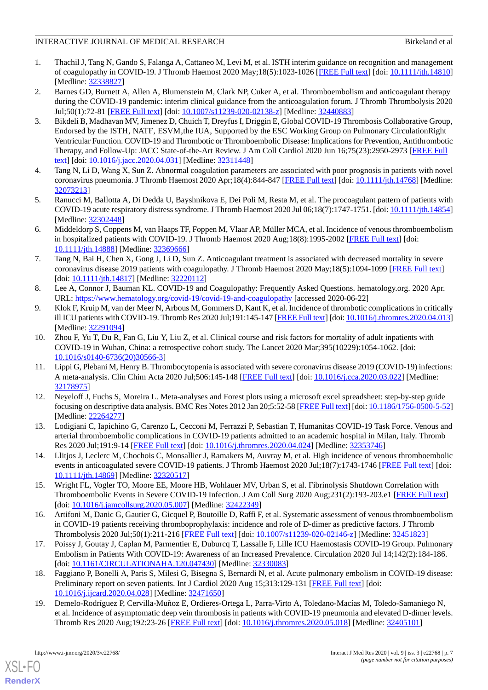- <span id="page-6-0"></span>1. Thachil J, Tang N, Gando S, Falanga A, Cattaneo M, Levi M, et al. ISTH interim guidance on recognition and management of coagulopathy in COVID-19. J Thromb Haemost 2020 May;18(5):1023-1026 [[FREE Full text](https://doi.org/10.1111.jth.14810)] [doi: [10.1111/jth.14810](http://dx.doi.org/10.1111/jth.14810)] [Medline: [32338827](http://www.ncbi.nlm.nih.gov/entrez/query.fcgi?cmd=Retrieve&db=PubMed&list_uids=32338827&dopt=Abstract)]
- <span id="page-6-4"></span>2. Barnes GD, Burnett A, Allen A, Blumenstein M, Clark NP, Cuker A, et al. Thromboembolism and anticoagulant therapy during the COVID-19 pandemic: interim clinical guidance from the anticoagulation forum. J Thromb Thrombolysis 2020 Jul;50(1):72-81 [[FREE Full text\]](http://europepmc.org/abstract/MED/32440883) [doi: [10.1007/s11239-020-02138-z\]](http://dx.doi.org/10.1007/s11239-020-02138-z) [Medline: [32440883\]](http://www.ncbi.nlm.nih.gov/entrez/query.fcgi?cmd=Retrieve&db=PubMed&list_uids=32440883&dopt=Abstract)
- <span id="page-6-1"></span>3. Bikdeli B, Madhavan MV, Jimenez D, Chuich T, Dreyfus I, Driggin E, Global COVID-19 Thrombosis Collaborative Group' Endorsed by the ISTH, NATF, ESVM, the IUA, Supported by the ESC Working Group on Pulmonary CirculationRight Ventricular Function. COVID-19 and Thrombotic or Thromboembolic Disease: Implications for Prevention, Antithrombotic Therapy, and Follow-Up: JACC State-of-the-Art Review. J Am Coll Cardiol 2020 Jun 16;75(23):2950-2973 [[FREE Full](http://europepmc.org/abstract/MED/32311448) [text](http://europepmc.org/abstract/MED/32311448)] [doi: [10.1016/j.jacc.2020.04.031\]](http://dx.doi.org/10.1016/j.jacc.2020.04.031) [Medline: [32311448\]](http://www.ncbi.nlm.nih.gov/entrez/query.fcgi?cmd=Retrieve&db=PubMed&list_uids=32311448&dopt=Abstract)
- <span id="page-6-3"></span><span id="page-6-2"></span>4. Tang N, Li D, Wang X, Sun Z. Abnormal coagulation parameters are associated with poor prognosis in patients with novel coronavirus pneumonia. J Thromb Haemost 2020 Apr;18(4):844-847 [[FREE Full text\]](http://europepmc.org/abstract/MED/32073213) [doi: [10.1111/jth.14768\]](http://dx.doi.org/10.1111/jth.14768) [Medline: [32073213](http://www.ncbi.nlm.nih.gov/entrez/query.fcgi?cmd=Retrieve&db=PubMed&list_uids=32073213&dopt=Abstract)]
- <span id="page-6-5"></span>5. Ranucci M, Ballotta A, Di Dedda U, Bayshnikova E, Dei Poli M, Resta M, et al. The procoagulant pattern of patients with COVID-19 acute respiratory distress syndrome. J Thromb Haemost 2020 Jul 06;18(7):1747-1751. [doi: [10.1111/jth.14854](http://dx.doi.org/10.1111/jth.14854)] [Medline: [32302448](http://www.ncbi.nlm.nih.gov/entrez/query.fcgi?cmd=Retrieve&db=PubMed&list_uids=32302448&dopt=Abstract)]
- <span id="page-6-6"></span>6. Middeldorp S, Coppens M, van Haaps TF, Foppen M, Vlaar AP, Müller MCA, et al. Incidence of venous thromboembolism in hospitalized patients with COVID-19. J Thromb Haemost 2020 Aug;18(8):1995-2002 [\[FREE Full text\]](https://doi.org/10.1111/jth.14888) [doi: [10.1111/jth.14888\]](http://dx.doi.org/10.1111/jth.14888) [Medline: [32369666\]](http://www.ncbi.nlm.nih.gov/entrez/query.fcgi?cmd=Retrieve&db=PubMed&list_uids=32369666&dopt=Abstract)
- <span id="page-6-7"></span>7. Tang N, Bai H, Chen X, Gong J, Li D, Sun Z. Anticoagulant treatment is associated with decreased mortality in severe coronavirus disease 2019 patients with coagulopathy. J Thromb Haemost 2020 May;18(5):1094-1099 [\[FREE Full text\]](https://doi.org/10.1186/1756-0500-5-52) [doi: [10.1111/jth.14817](http://dx.doi.org/10.1111/jth.14817)] [Medline: [32220112](http://www.ncbi.nlm.nih.gov/entrez/query.fcgi?cmd=Retrieve&db=PubMed&list_uids=32220112&dopt=Abstract)]
- <span id="page-6-8"></span>8. Lee A, Connor J, Bauman KL. COVID-19 and Coagulopathy: Frequently Asked Questions. hematology.org. 2020 Apr. URL: <https://www.hematology.org/covid-19/covid-19-and-coagulopathy> [accessed 2020-06-22]
- <span id="page-6-9"></span>9. Klok F, Kruip M, van der Meer N, Arbous M, Gommers D, Kant K, et al. Incidence of thrombotic complications in critically ill ICU patients with COVID-19. Thromb Res 2020 Jul;191:145-147 [\[FREE Full text\]](http://europepmc.org/abstract/MED/32291094) [doi: [10.1016/j.thromres.2020.04.013\]](http://dx.doi.org/10.1016/j.thromres.2020.04.013) [Medline: [32291094](http://www.ncbi.nlm.nih.gov/entrez/query.fcgi?cmd=Retrieve&db=PubMed&list_uids=32291094&dopt=Abstract)]
- <span id="page-6-10"></span>10. Zhou F, Yu T, Du R, Fan G, Liu Y, Liu Z, et al. Clinical course and risk factors for mortality of adult inpatients with COVID-19 in Wuhan, China: a retrospective cohort study. The Lancet 2020 Mar;395(10229):1054-1062. [doi: [10.1016/s0140-6736\(20\)30566-3](http://dx.doi.org/10.1016/s0140-6736(20)30566-3)]
- <span id="page-6-11"></span>11. Lippi G, Plebani M, Henry B. Thrombocytopenia is associated with severe coronavirus disease 2019 (COVID-19) infections: A meta-analysis. Clin Chim Acta 2020 Jul;506:145-148 [[FREE Full text](http://europepmc.org/abstract/MED/32178975)] [doi: [10.1016/j.cca.2020.03.022\]](http://dx.doi.org/10.1016/j.cca.2020.03.022) [Medline: [32178975](http://www.ncbi.nlm.nih.gov/entrez/query.fcgi?cmd=Retrieve&db=PubMed&list_uids=32178975&dopt=Abstract)]
- <span id="page-6-13"></span><span id="page-6-12"></span>12. Neyeloff J, Fuchs S, Moreira L. Meta-analyses and Forest plots using a microsoft excel spreadsheet: step-by-step guide focusing on descriptive data analysis. BMC Res Notes 2012 Jan 20;5:52-58 [[FREE Full text](https://bmcresnotes.biomedcentral.com/articles/10.1186/1756-0500-5-52)] [doi: [10.1186/1756-0500-5-52\]](http://dx.doi.org/10.1186/1756-0500-5-52) [Medline: [22264277](http://www.ncbi.nlm.nih.gov/entrez/query.fcgi?cmd=Retrieve&db=PubMed&list_uids=22264277&dopt=Abstract)]
- <span id="page-6-14"></span>13. Lodigiani C, Iapichino G, Carenzo L, Cecconi M, Ferrazzi P, Sebastian T, Humanitas COVID-19 Task Force. Venous and arterial thromboembolic complications in COVID-19 patients admitted to an academic hospital in Milan, Italy. Thromb Res 2020 Jul;191:9-14 [[FREE Full text](http://europepmc.org/abstract/MED/32353746)] [doi: [10.1016/j.thromres.2020.04.024](http://dx.doi.org/10.1016/j.thromres.2020.04.024)] [Medline: [32353746\]](http://www.ncbi.nlm.nih.gov/entrez/query.fcgi?cmd=Retrieve&db=PubMed&list_uids=32353746&dopt=Abstract)
- <span id="page-6-15"></span>14. Llitjos J, Leclerc M, Chochois C, Monsallier J, Ramakers M, Auvray M, et al. High incidence of venous thromboembolic events in anticoagulated severe COVID-19 patients. J Thromb Haemost 2020 Jul;18(7):1743-1746 [[FREE Full text](http://europepmc.org/abstract/MED/32320517)] [doi: [10.1111/jth.14869\]](http://dx.doi.org/10.1111/jth.14869) [Medline: [32320517\]](http://www.ncbi.nlm.nih.gov/entrez/query.fcgi?cmd=Retrieve&db=PubMed&list_uids=32320517&dopt=Abstract)
- <span id="page-6-16"></span>15. Wright FL, Vogler TO, Moore EE, Moore HB, Wohlauer MV, Urban S, et al. Fibrinolysis Shutdown Correlation with Thromboembolic Events in Severe COVID-19 Infection. J Am Coll Surg 2020 Aug;231(2):193-203.e1 [[FREE Full text](http://europepmc.org/abstract/MED/32422349)] [doi: [10.1016/j.jamcollsurg.2020.05.007](http://dx.doi.org/10.1016/j.jamcollsurg.2020.05.007)] [Medline: [32422349\]](http://www.ncbi.nlm.nih.gov/entrez/query.fcgi?cmd=Retrieve&db=PubMed&list_uids=32422349&dopt=Abstract)
- <span id="page-6-17"></span>16. Artifoni M, Danic G, Gautier G, Gicquel P, Boutoille D, Raffi F, et al. Systematic assessment of venous thromboembolism in COVID-19 patients receiving thromboprophylaxis: incidence and role of D-dimer as predictive factors. J Thromb Thrombolysis 2020 Jul;50(1):211-216 [\[FREE Full text\]](http://europepmc.org/abstract/MED/32451823) [doi: [10.1007/s11239-020-02146-z](http://dx.doi.org/10.1007/s11239-020-02146-z)] [Medline: [32451823](http://www.ncbi.nlm.nih.gov/entrez/query.fcgi?cmd=Retrieve&db=PubMed&list_uids=32451823&dopt=Abstract)]
- <span id="page-6-18"></span>17. Poissy J, Goutay J, Caplan M, Parmentier E, Duburcq T, Lassalle F, Lille ICU Haemostasis COVID-19 Group. Pulmonary Embolism in Patients With COVID-19: Awareness of an Increased Prevalence. Circulation 2020 Jul 14;142(2):184-186. [doi: [10.1161/CIRCULATIONAHA.120.047430](http://dx.doi.org/10.1161/CIRCULATIONAHA.120.047430)] [Medline: [32330083\]](http://www.ncbi.nlm.nih.gov/entrez/query.fcgi?cmd=Retrieve&db=PubMed&list_uids=32330083&dopt=Abstract)
- 18. Faggiano P, Bonelli A, Paris S, Milesi G, Bisegna S, Bernardi N, et al. Acute pulmonary embolism in COVID-19 disease: Preliminary report on seven patients. Int J Cardiol 2020 Aug 15;313:129-131 [\[FREE Full text\]](http://europepmc.org/abstract/MED/32471650) [doi: [10.1016/j.ijcard.2020.04.028](http://dx.doi.org/10.1016/j.ijcard.2020.04.028)] [Medline: [32471650](http://www.ncbi.nlm.nih.gov/entrez/query.fcgi?cmd=Retrieve&db=PubMed&list_uids=32471650&dopt=Abstract)]
- 19. Demelo-Rodríguez P, Cervilla-Muñoz E, Ordieres-Ortega L, Parra-Virto A, Toledano-Macías M, Toledo-Samaniego N, et al. Incidence of asymptomatic deep vein thrombosis in patients with COVID-19 pneumonia and elevated D-dimer levels. Thromb Res 2020 Aug;192:23-26 [\[FREE Full text\]](http://europepmc.org/abstract/MED/32405101) [doi: [10.1016/j.thromres.2020.05.018](http://dx.doi.org/10.1016/j.thromres.2020.05.018)] [Medline: [32405101](http://www.ncbi.nlm.nih.gov/entrez/query.fcgi?cmd=Retrieve&db=PubMed&list_uids=32405101&dopt=Abstract)]

[XSL](http://www.w3.org/Style/XSL)•FO **[RenderX](http://www.renderx.com/)**